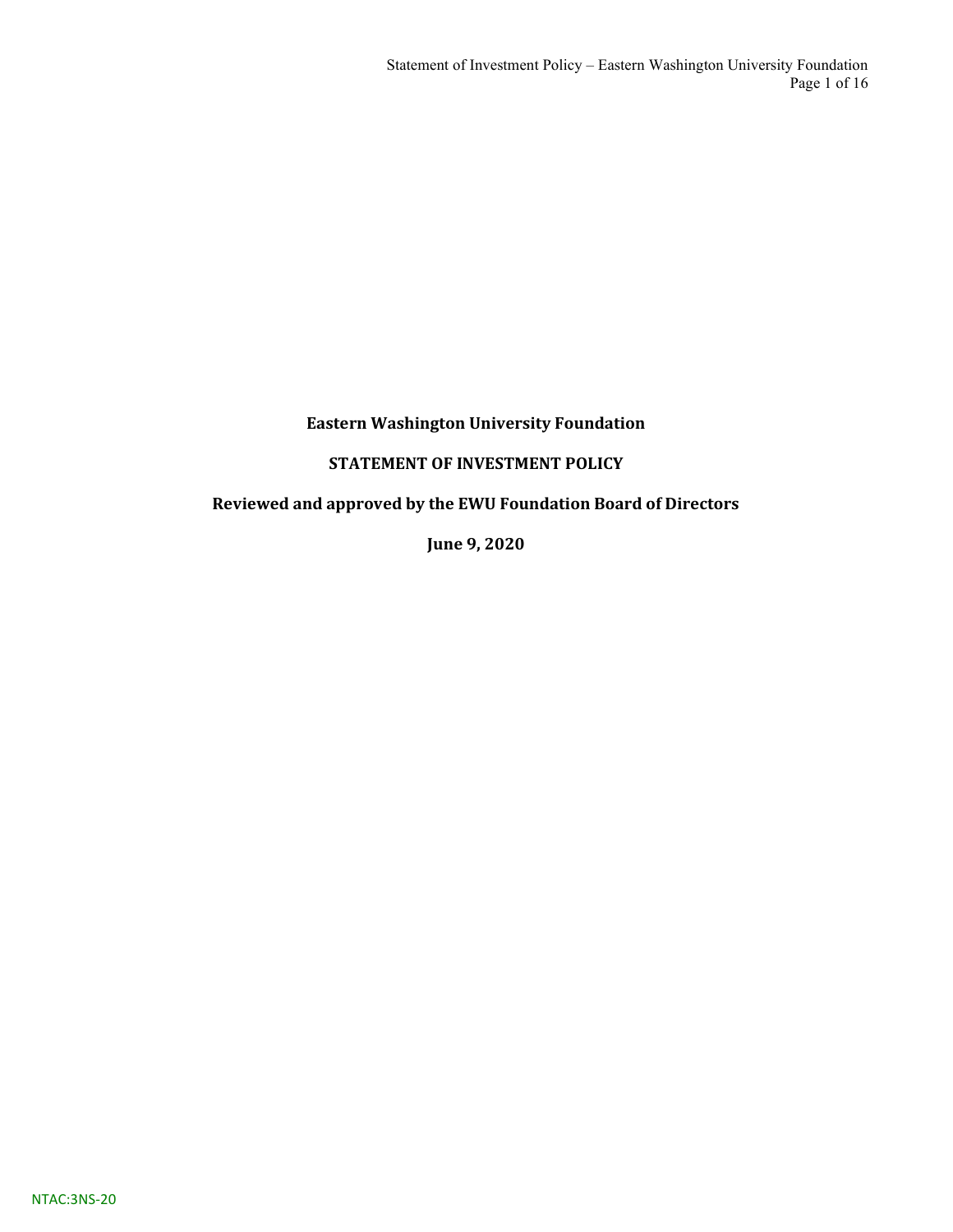# STATEMENT OF INVESTMENT POLICY

# Reviewed and approved by the EWU Foundation Board of Directors

June 9, 2020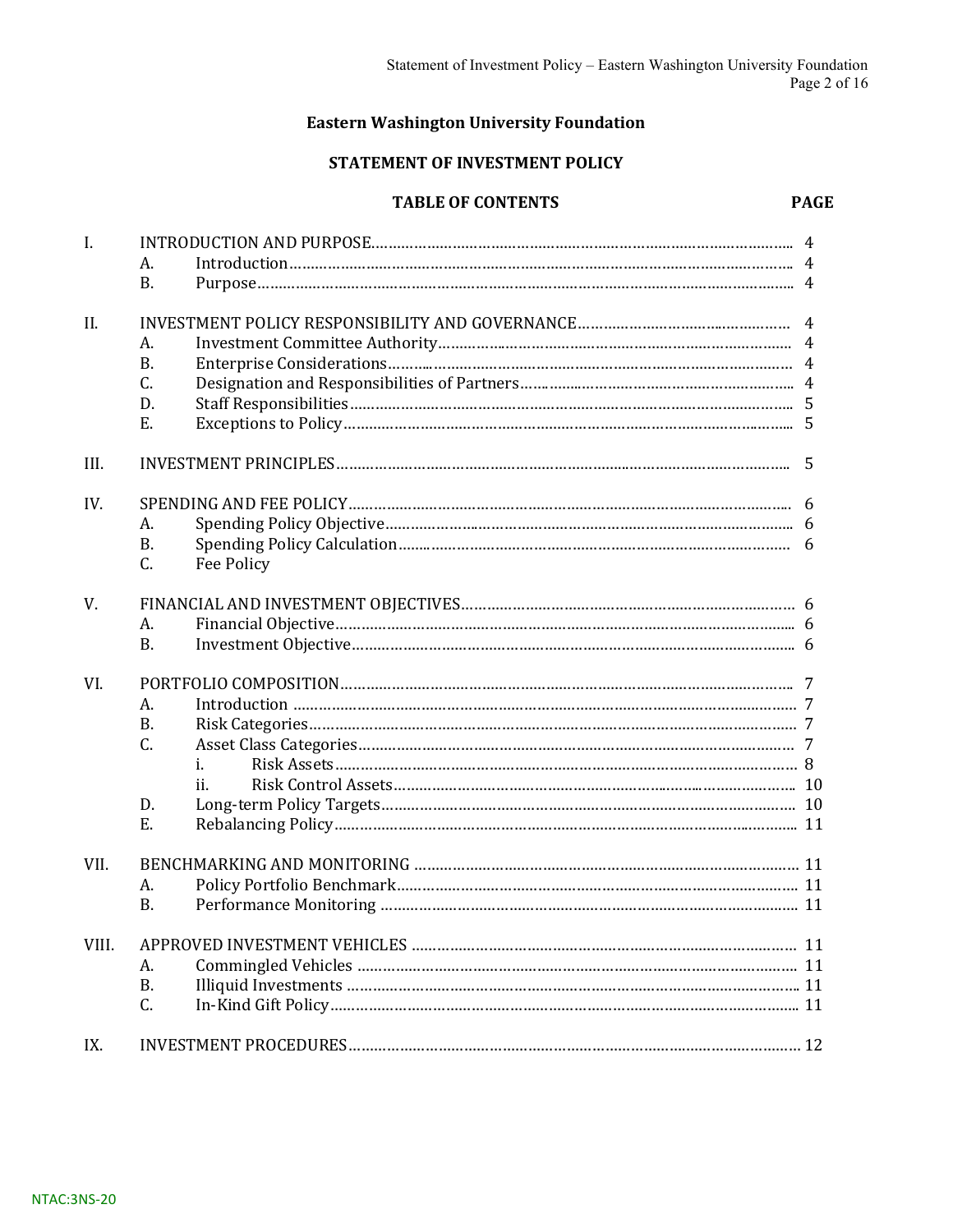#### STATEMENT OF INVESTMENT POLICY

#### TABLE OF CONTENTS

| $\mathbf{I}$ . |                  |   |  |  |  |
|----------------|------------------|---|--|--|--|
|                | А.               |   |  |  |  |
|                | <b>B.</b>        |   |  |  |  |
| II.            |                  |   |  |  |  |
|                | А.               |   |  |  |  |
|                | <b>B.</b>        |   |  |  |  |
|                | C.               |   |  |  |  |
|                | D.               |   |  |  |  |
|                | Ε.               |   |  |  |  |
| III.           |                  | 5 |  |  |  |
| IV.            |                  | 6 |  |  |  |
|                | А.               |   |  |  |  |
|                | <b>B.</b>        |   |  |  |  |
|                | C.<br>Fee Policy |   |  |  |  |
| V.             |                  |   |  |  |  |
|                | A.               |   |  |  |  |
|                | <b>B.</b>        |   |  |  |  |
| VI.            |                  |   |  |  |  |
|                | А.               |   |  |  |  |
|                | <b>B.</b>        |   |  |  |  |
|                | C.               |   |  |  |  |
|                | i.               |   |  |  |  |
|                | ii.              |   |  |  |  |
|                | D.               |   |  |  |  |
|                | Ε.               |   |  |  |  |
| VII.           |                  |   |  |  |  |
|                | А.               |   |  |  |  |
|                | <b>B.</b>        |   |  |  |  |
| VIII.          |                  |   |  |  |  |
|                | А.               |   |  |  |  |
|                | <b>B.</b>        |   |  |  |  |
|                | C.               |   |  |  |  |
| IX.            |                  |   |  |  |  |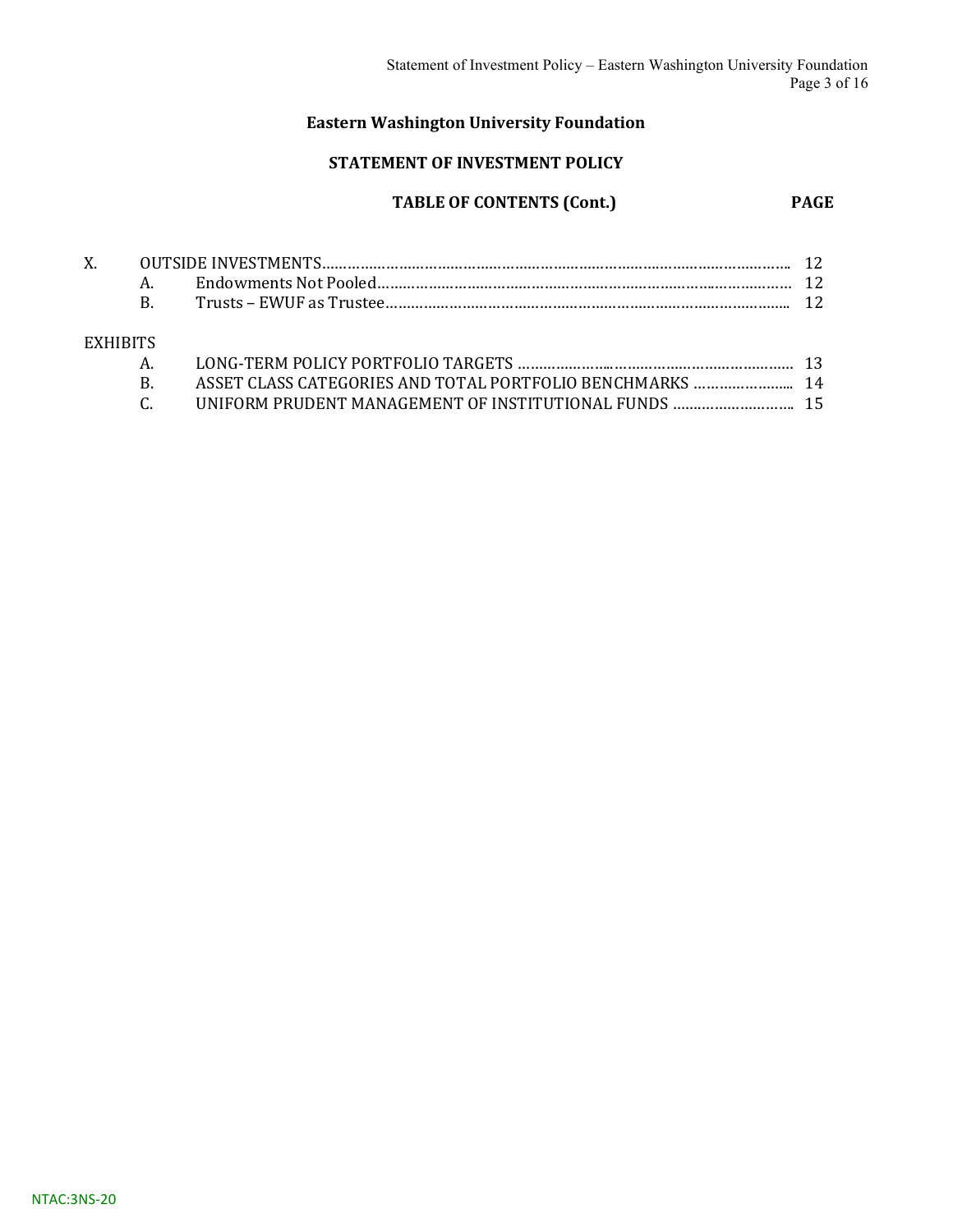#### STATEMENT OF INVESTMENT POLICY

# TABLE OF CONTENTS (Cont.) PAGE

| $X_{-}$         |              |                                                       |  |
|-----------------|--------------|-------------------------------------------------------|--|
|                 |              |                                                       |  |
|                 | $\mathbf{B}$ |                                                       |  |
|                 |              |                                                       |  |
| <b>EXHIBITS</b> |              |                                                       |  |
|                 |              |                                                       |  |
|                 | B.           |                                                       |  |
|                 |              | UNIFORM PRUDENT MANAGEMENT OF INSTITUTIONAL FUNDS  15 |  |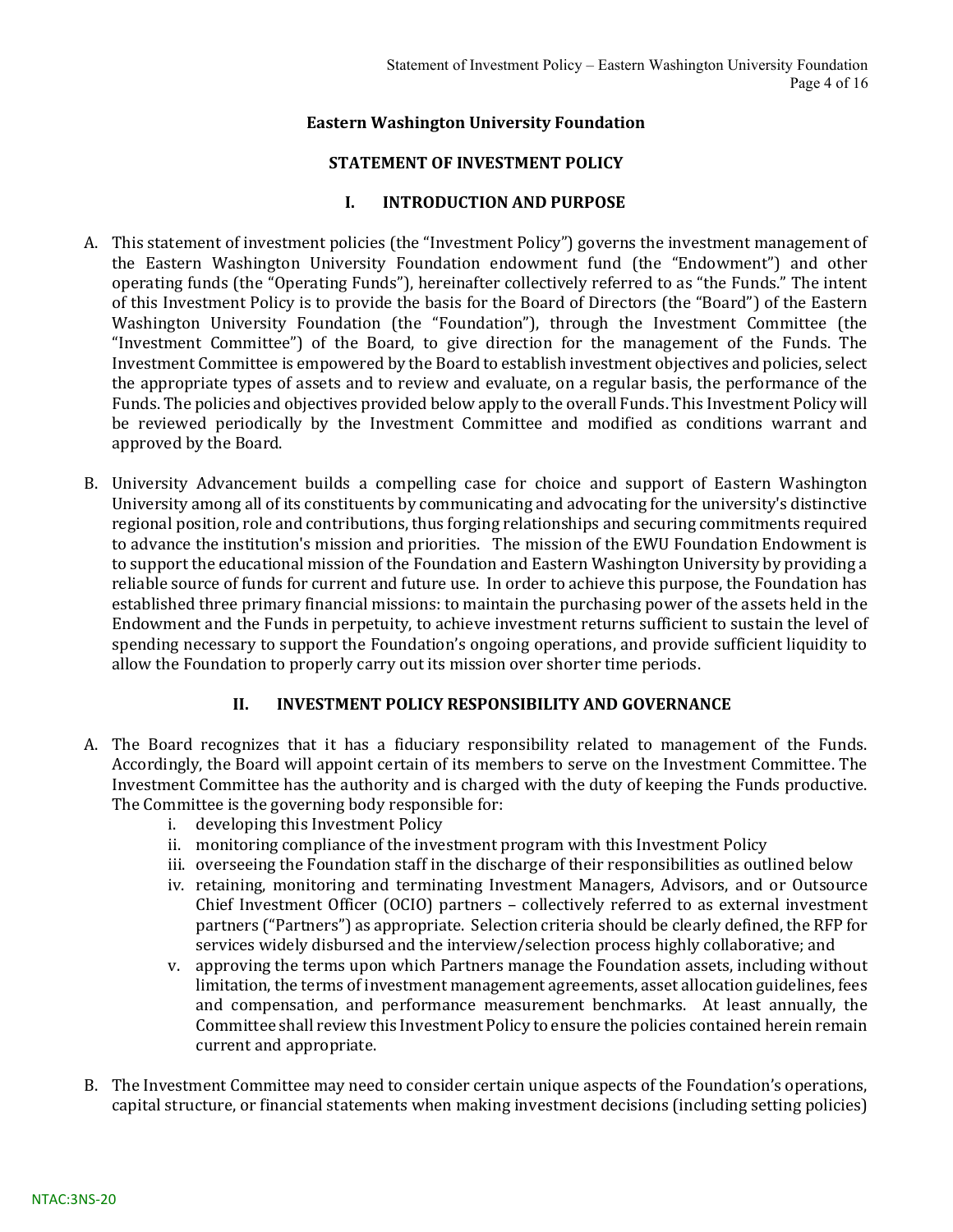#### STATEMENT OF INVESTMENT POLICY

#### I. INTRODUCTION AND PURPOSE

- A. This statement of investment policies (the "Investment Policy") governs the investment management of the Eastern Washington University Foundation endowment fund (the "Endowment") and other operating funds (the "Operating Funds"), hereinafter collectively referred to as "the Funds." The intent of this Investment Policy is to provide the basis for the Board of Directors (the "Board") of the Eastern Washington University Foundation (the "Foundation"), through the Investment Committee (the "Investment Committee") of the Board, to give direction for the management of the Funds. The Investment Committee is empowered by the Board to establish investment objectives and policies, select the appropriate types of assets and to review and evaluate, on a regular basis, the performance of the Funds. The policies and objectives provided below apply to the overall Funds. This Investment Policy will be reviewed periodically by the Investment Committee and modified as conditions warrant and approved by the Board.
- B. University Advancement builds a compelling case for choice and support of Eastern Washington University among all of its constituents by communicating and advocating for the university's distinctive regional position, role and contributions, thus forging relationships and securing commitments required to advance the institution's mission and priorities. The mission of the EWU Foundation Endowment is to support the educational mission of the Foundation and Eastern Washington University by providing a reliable source of funds for current and future use. In order to achieve this purpose, the Foundation has established three primary financial missions: to maintain the purchasing power of the assets held in the Endowment and the Funds in perpetuity, to achieve investment returns sufficient to sustain the level of spending necessary to support the Foundation's ongoing operations, and provide sufficient liquidity to allow the Foundation to properly carry out its mission over shorter time periods.

#### II. INVESTMENT POLICY RESPONSIBILITY AND GOVERNANCE

- A. The Board recognizes that it has a fiduciary responsibility related to management of the Funds. Accordingly, the Board will appoint certain of its members to serve on the Investment Committee. The Investment Committee has the authority and is charged with the duty of keeping the Funds productive. The Committee is the governing body responsible for:
	- i. developing this Investment Policy
	- ii. monitoring compliance of the investment program with this Investment Policy
	- iii. overseeing the Foundation staff in the discharge of their responsibilities as outlined below
	- iv. retaining, monitoring and terminating Investment Managers, Advisors, and or Outsource Chief Investment Officer (OCIO) partners – collectively referred to as external investment partners ("Partners") as appropriate. Selection criteria should be clearly defined, the RFP for services widely disbursed and the interview/selection process highly collaborative; and
	- v. approving the terms upon which Partners manage the Foundation assets, including without limitation, the terms of investment management agreements, asset allocation guidelines, fees and compensation, and performance measurement benchmarks. At least annually, the Committee shall review this Investment Policy to ensure the policies contained herein remain current and appropriate.
- B. The Investment Committee may need to consider certain unique aspects of the Foundation's operations, capital structure, or financial statements when making investment decisions (including setting policies)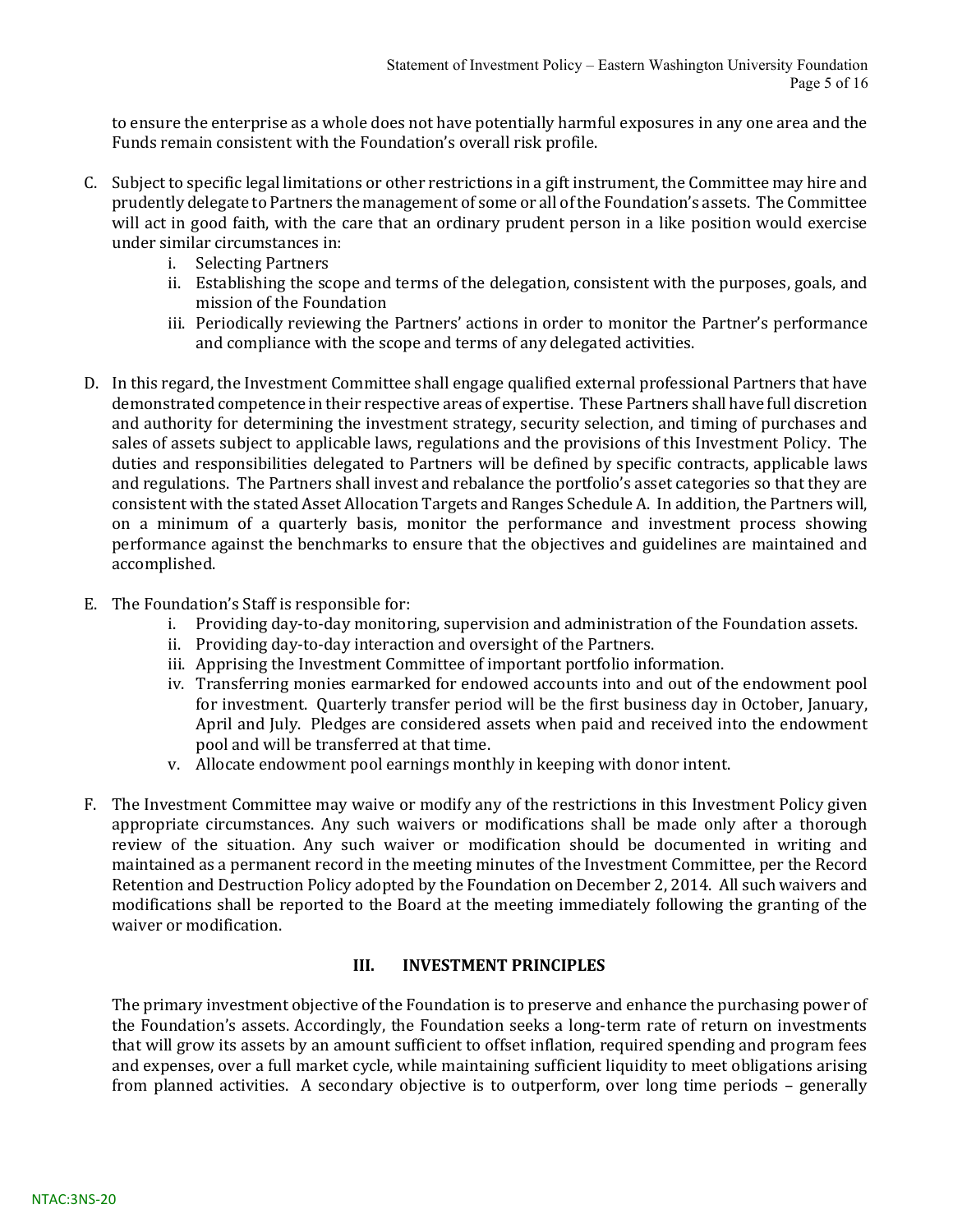to ensure the enterprise as a whole does not have potentially harmful exposures in any one area and the Funds remain consistent with the Foundation's overall risk profile.

- C. Subject to specific legal limitations or other restrictions in a gift instrument, the Committee may hire and prudently delegate to Partners the management of some or all of the Foundation's assets. The Committee will act in good faith, with the care that an ordinary prudent person in a like position would exercise under similar circumstances in:
	- i. Selecting Partners
	- ii. Establishing the scope and terms of the delegation, consistent with the purposes, goals, and mission of the Foundation
	- iii. Periodically reviewing the Partners' actions in order to monitor the Partner's performance and compliance with the scope and terms of any delegated activities.
- D. In this regard, the Investment Committee shall engage qualified external professional Partners that have demonstrated competence in their respective areas of expertise. These Partners shall have full discretion and authority for determining the investment strategy, security selection, and timing of purchases and sales of assets subject to applicable laws, regulations and the provisions of this Investment Policy. The duties and responsibilities delegated to Partners will be defined by specific contracts, applicable laws and regulations. The Partners shall invest and rebalance the portfolio's asset categories so that they are consistent with the stated Asset Allocation Targets and Ranges Schedule A. In addition, the Partners will, on a minimum of a quarterly basis, monitor the performance and investment process showing performance against the benchmarks to ensure that the objectives and guidelines are maintained and accomplished.
- E. The Foundation's Staff is responsible for:
	- i. Providing day-to-day monitoring, supervision and administration of the Foundation assets.
	- ii. Providing day-to-day interaction and oversight of the Partners.
	- iii. Apprising the Investment Committee of important portfolio information.
	- iv. Transferring monies earmarked for endowed accounts into and out of the endowment pool for investment. Quarterly transfer period will be the first business day in October, January, April and July. Pledges are considered assets when paid and received into the endowment pool and will be transferred at that time.
	- v. Allocate endowment pool earnings monthly in keeping with donor intent.
- F. The Investment Committee may waive or modify any of the restrictions in this Investment Policy given appropriate circumstances. Any such waivers or modifications shall be made only after a thorough review of the situation. Any such waiver or modification should be documented in writing and maintained as a permanent record in the meeting minutes of the Investment Committee, per the Record Retention and Destruction Policy adopted by the Foundation on December 2, 2014. All such waivers and modifications shall be reported to the Board at the meeting immediately following the granting of the waiver or modification.

#### III. INVESTMENT PRINCIPLES

The primary investment objective of the Foundation is to preserve and enhance the purchasing power of the Foundation's assets. Accordingly, the Foundation seeks a long-term rate of return on investments that will grow its assets by an amount sufficient to offset inflation, required spending and program fees and expenses, over a full market cycle, while maintaining sufficient liquidity to meet obligations arising from planned activities. A secondary objective is to outperform, over long time periods – generally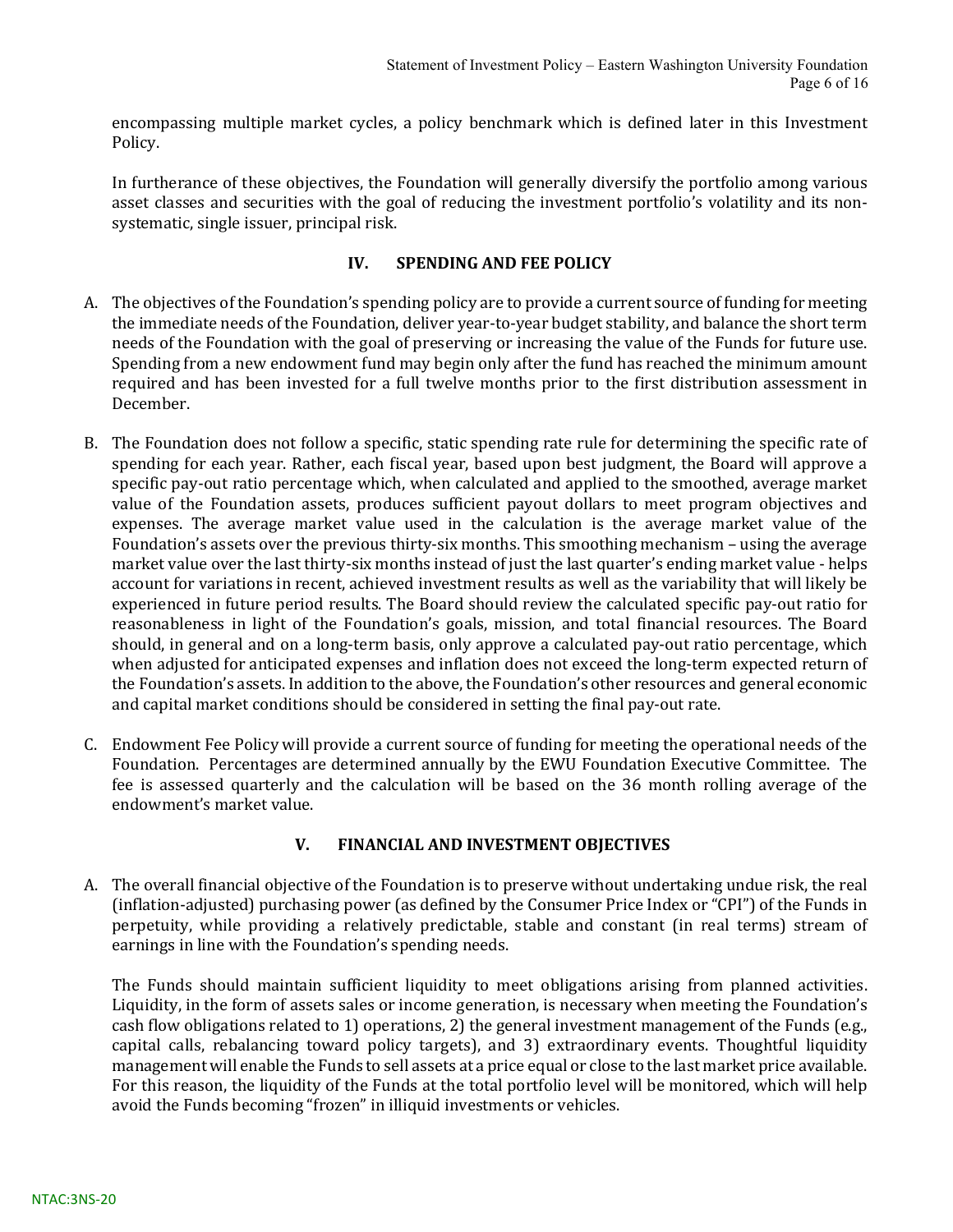encompassing multiple market cycles, a policy benchmark which is defined later in this Investment Policy.

In furtherance of these objectives, the Foundation will generally diversify the portfolio among various asset classes and securities with the goal of reducing the investment portfolio's volatility and its nonsystematic, single issuer, principal risk.

#### IV. SPENDING AND FEE POLICY

- A. The objectives of the Foundation's spending policy are to provide a current source of funding for meeting the immediate needs of the Foundation, deliver year-to-year budget stability, and balance the short term needs of the Foundation with the goal of preserving or increasing the value of the Funds for future use. Spending from a new endowment fund may begin only after the fund has reached the minimum amount required and has been invested for a full twelve months prior to the first distribution assessment in December.
- B. The Foundation does not follow a specific, static spending rate rule for determining the specific rate of spending for each year. Rather, each fiscal year, based upon best judgment, the Board will approve a specific pay-out ratio percentage which, when calculated and applied to the smoothed, average market value of the Foundation assets, produces sufficient payout dollars to meet program objectives and expenses. The average market value used in the calculation is the average market value of the Foundation's assets over the previous thirty-six months. This smoothing mechanism – using the average market value over the last thirty-six months instead of just the last quarter's ending market value - helps account for variations in recent, achieved investment results as well as the variability that will likely be experienced in future period results. The Board should review the calculated specific pay-out ratio for reasonableness in light of the Foundation's goals, mission, and total financial resources. The Board should, in general and on a long-term basis, only approve a calculated pay-out ratio percentage, which when adjusted for anticipated expenses and inflation does not exceed the long-term expected return of the Foundation's assets. In addition to the above, the Foundation's other resources and general economic and capital market conditions should be considered in setting the final pay-out rate.
- C. Endowment Fee Policy will provide a current source of funding for meeting the operational needs of the Foundation. Percentages are determined annually by the EWU Foundation Executive Committee. The fee is assessed quarterly and the calculation will be based on the 36 month rolling average of the endowment's market value.

#### V. FINANCIAL AND INVESTMENT OBJECTIVES

A. The overall financial objective of the Foundation is to preserve without undertaking undue risk, the real (inflation-adjusted) purchasing power (as defined by the Consumer Price Index or "CPI") of the Funds in perpetuity, while providing a relatively predictable, stable and constant (in real terms) stream of earnings in line with the Foundation's spending needs.

The Funds should maintain sufficient liquidity to meet obligations arising from planned activities. Liquidity, in the form of assets sales or income generation, is necessary when meeting the Foundation's cash flow obligations related to 1) operations, 2) the general investment management of the Funds (e.g., capital calls, rebalancing toward policy targets), and 3) extraordinary events. Thoughtful liquidity management will enable the Funds to sell assets at a price equal or close to the last market price available. For this reason, the liquidity of the Funds at the total portfolio level will be monitored, which will help avoid the Funds becoming "frozen" in illiquid investments or vehicles.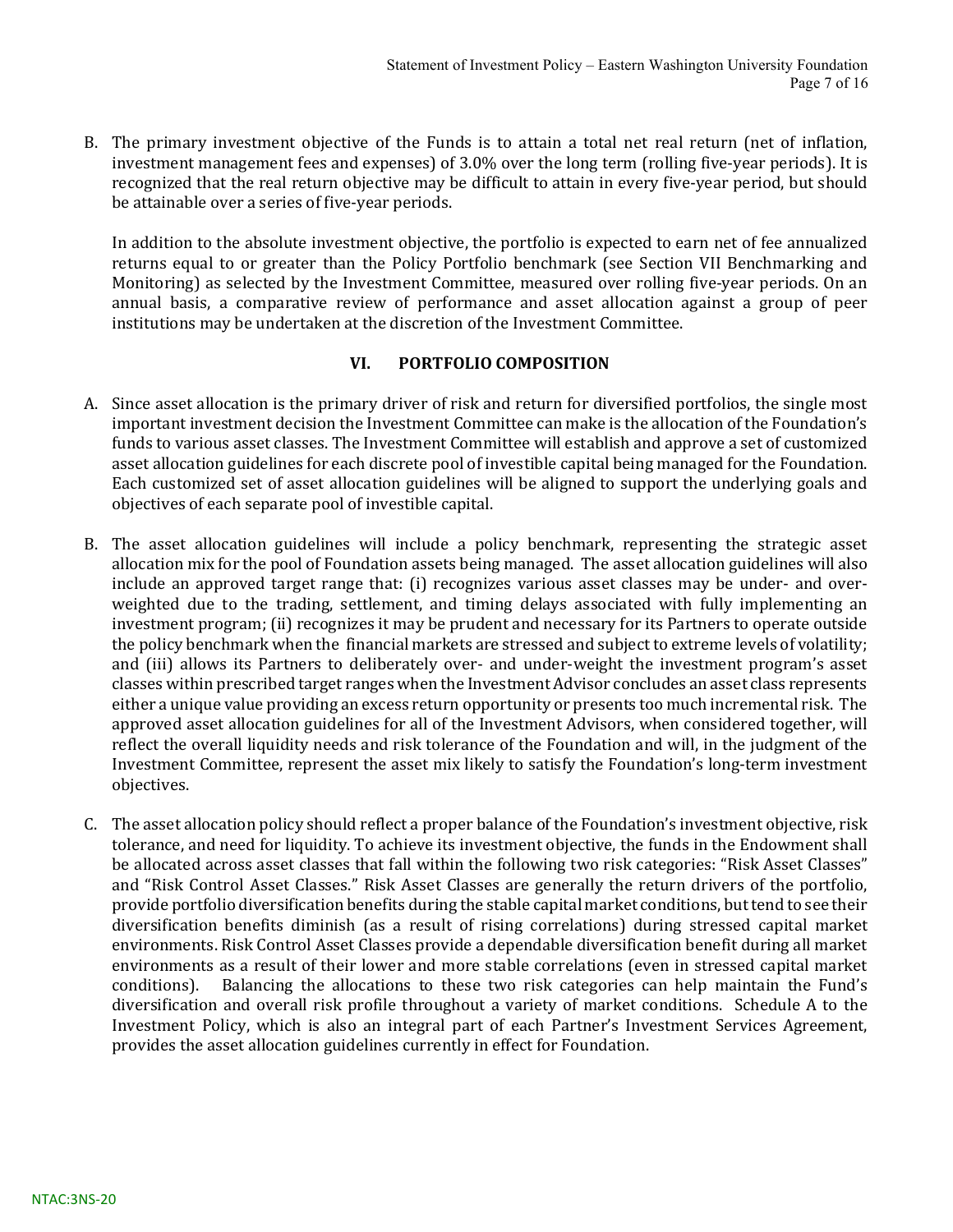B. The primary investment objective of the Funds is to attain a total net real return (net of inflation, investment management fees and expenses) of 3.0% over the long term (rolling five-year periods). It is recognized that the real return objective may be difficult to attain in every five-year period, but should be attainable over a series of five-year periods.

In addition to the absolute investment objective, the portfolio is expected to earn net of fee annualized returns equal to or greater than the Policy Portfolio benchmark (see Section VII Benchmarking and Monitoring) as selected by the Investment Committee, measured over rolling five-year periods. On an annual basis, a comparative review of performance and asset allocation against a group of peer institutions may be undertaken at the discretion of the Investment Committee.

#### VI. PORTFOLIO COMPOSITION

- A. Since asset allocation is the primary driver of risk and return for diversified portfolios, the single most important investment decision the Investment Committee can make is the allocation of the Foundation's funds to various asset classes. The Investment Committee will establish and approve a set of customized asset allocation guidelines for each discrete pool of investible capital being managed for the Foundation. Each customized set of asset allocation guidelines will be aligned to support the underlying goals and objectives of each separate pool of investible capital.
- B. The asset allocation guidelines will include a policy benchmark, representing the strategic asset allocation mix for the pool of Foundation assets being managed. The asset allocation guidelines will also include an approved target range that: (i) recognizes various asset classes may be under- and overweighted due to the trading, settlement, and timing delays associated with fully implementing an investment program; (ii) recognizes it may be prudent and necessary for its Partners to operate outside the policy benchmark when the financial markets are stressed and subject to extreme levels of volatility; and (iii) allows its Partners to deliberately over- and under-weight the investment program's asset classes within prescribed target ranges when the Investment Advisor concludes an asset class represents either a unique value providing an excess return opportunity or presents too much incremental risk. The approved asset allocation guidelines for all of the Investment Advisors, when considered together, will reflect the overall liquidity needs and risk tolerance of the Foundation and will, in the judgment of the Investment Committee, represent the asset mix likely to satisfy the Foundation's long-term investment objectives.
- C. The asset allocation policy should reflect a proper balance of the Foundation's investment objective, risk tolerance, and need for liquidity. To achieve its investment objective, the funds in the Endowment shall be allocated across asset classes that fall within the following two risk categories: "Risk Asset Classes" and "Risk Control Asset Classes." Risk Asset Classes are generally the return drivers of the portfolio, provide portfolio diversification benefits during the stable capital market conditions, but tend to see their diversification benefits diminish (as a result of rising correlations) during stressed capital market environments. Risk Control Asset Classes provide a dependable diversification benefit during all market environments as a result of their lower and more stable correlations (even in stressed capital market conditions). Balancing the allocations to these two risk categories can help maintain the Fund's diversification and overall risk profile throughout a variety of market conditions. Schedule A to the Investment Policy, which is also an integral part of each Partner's Investment Services Agreement, provides the asset allocation guidelines currently in effect for Foundation.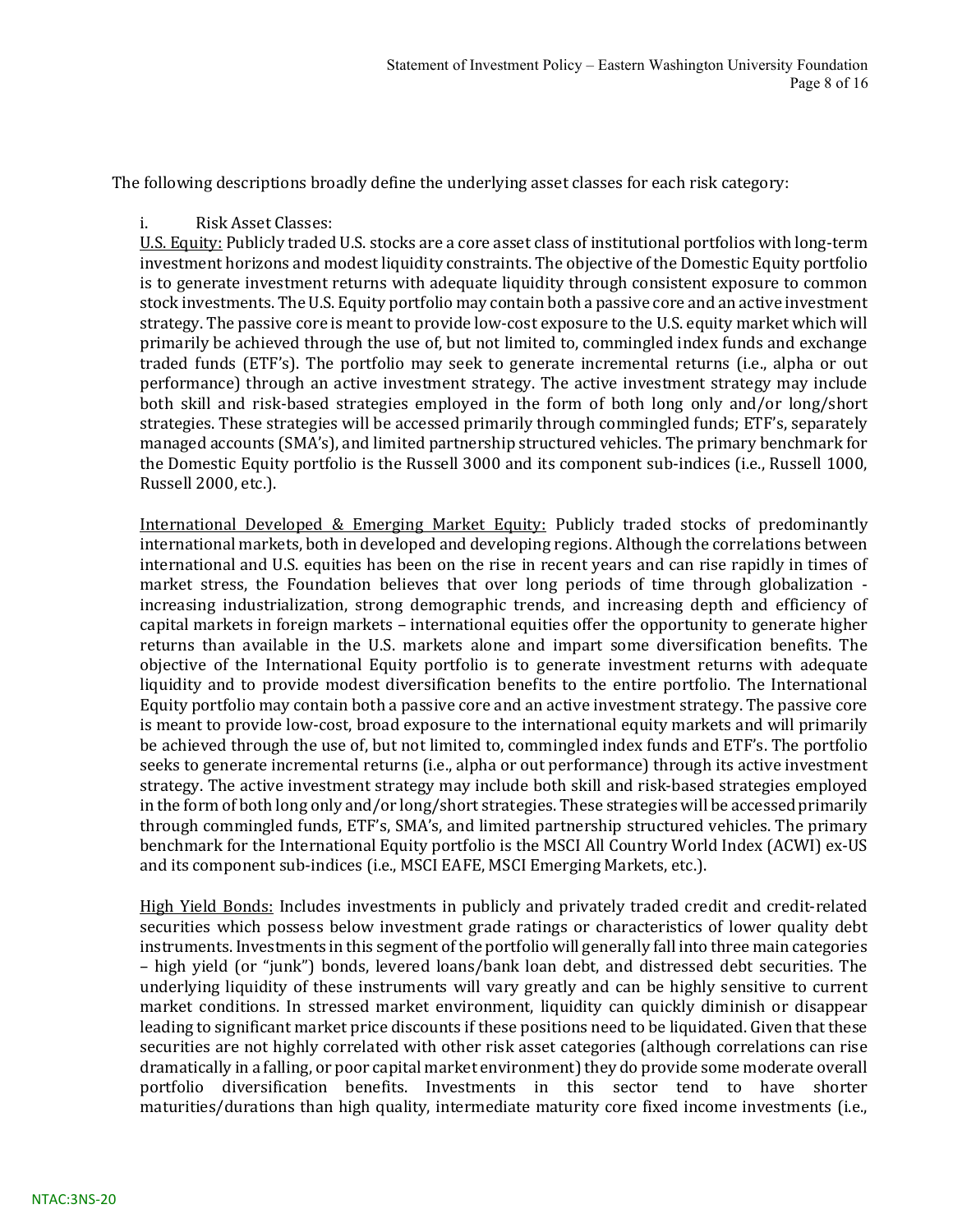The following descriptions broadly define the underlying asset classes for each risk category:

i. Risk Asset Classes:

U.S. Equity: Publicly traded U.S. stocks are a core asset class of institutional portfolios with long-term investment horizons and modest liquidity constraints. The objective of the Domestic Equity portfolio is to generate investment returns with adequate liquidity through consistent exposure to common stock investments. The U.S. Equity portfolio may contain both a passive core and an active investment strategy. The passive core is meant to provide low-cost exposure to the U.S. equity market which will primarily be achieved through the use of, but not limited to, commingled index funds and exchange traded funds (ETF's). The portfolio may seek to generate incremental returns (i.e., alpha or out performance) through an active investment strategy. The active investment strategy may include both skill and risk-based strategies employed in the form of both long only and/or long/short strategies. These strategies will be accessed primarily through commingled funds; ETF's, separately managed accounts (SMA's), and limited partnership structured vehicles. The primary benchmark for the Domestic Equity portfolio is the Russell 3000 and its component sub-indices (i.e., Russell 1000, Russell 2000, etc.).

International Developed & Emerging Market Equity: Publicly traded stocks of predominantly international markets, both in developed and developing regions. Although the correlations between international and U.S. equities has been on the rise in recent years and can rise rapidly in times of market stress, the Foundation believes that over long periods of time through globalization increasing industrialization, strong demographic trends, and increasing depth and efficiency of capital markets in foreign markets – international equities offer the opportunity to generate higher returns than available in the U.S. markets alone and impart some diversification benefits. The objective of the International Equity portfolio is to generate investment returns with adequate liquidity and to provide modest diversification benefits to the entire portfolio. The International Equity portfolio may contain both a passive core and an active investment strategy. The passive core is meant to provide low-cost, broad exposure to the international equity markets and will primarily be achieved through the use of, but not limited to, commingled index funds and ETF's. The portfolio seeks to generate incremental returns (i.e., alpha or out performance) through its active investment strategy. The active investment strategy may include both skill and risk-based strategies employed in the form of both long only and/or long/short strategies. These strategies will be accessed primarily through commingled funds, ETF's, SMA's, and limited partnership structured vehicles. The primary benchmark for the International Equity portfolio is the MSCI All Country World Index (ACWI) ex-US and its component sub-indices (i.e., MSCI EAFE, MSCI Emerging Markets, etc.).

High Yield Bonds: Includes investments in publicly and privately traded credit and credit-related securities which possess below investment grade ratings or characteristics of lower quality debt instruments. Investments in this segment of the portfolio will generally fall into three main categories – high yield (or "junk") bonds, levered loans/bank loan debt, and distressed debt securities. The underlying liquidity of these instruments will vary greatly and can be highly sensitive to current market conditions. In stressed market environment, liquidity can quickly diminish or disappear leading to significant market price discounts if these positions need to be liquidated. Given that these securities are not highly correlated with other risk asset categories (although correlations can rise dramatically in a falling, or poor capital market environment) they do provide some moderate overall portfolio diversification benefits. Investments in this sector tend to have shorter maturities/durations than high quality, intermediate maturity core fixed income investments (i.e.,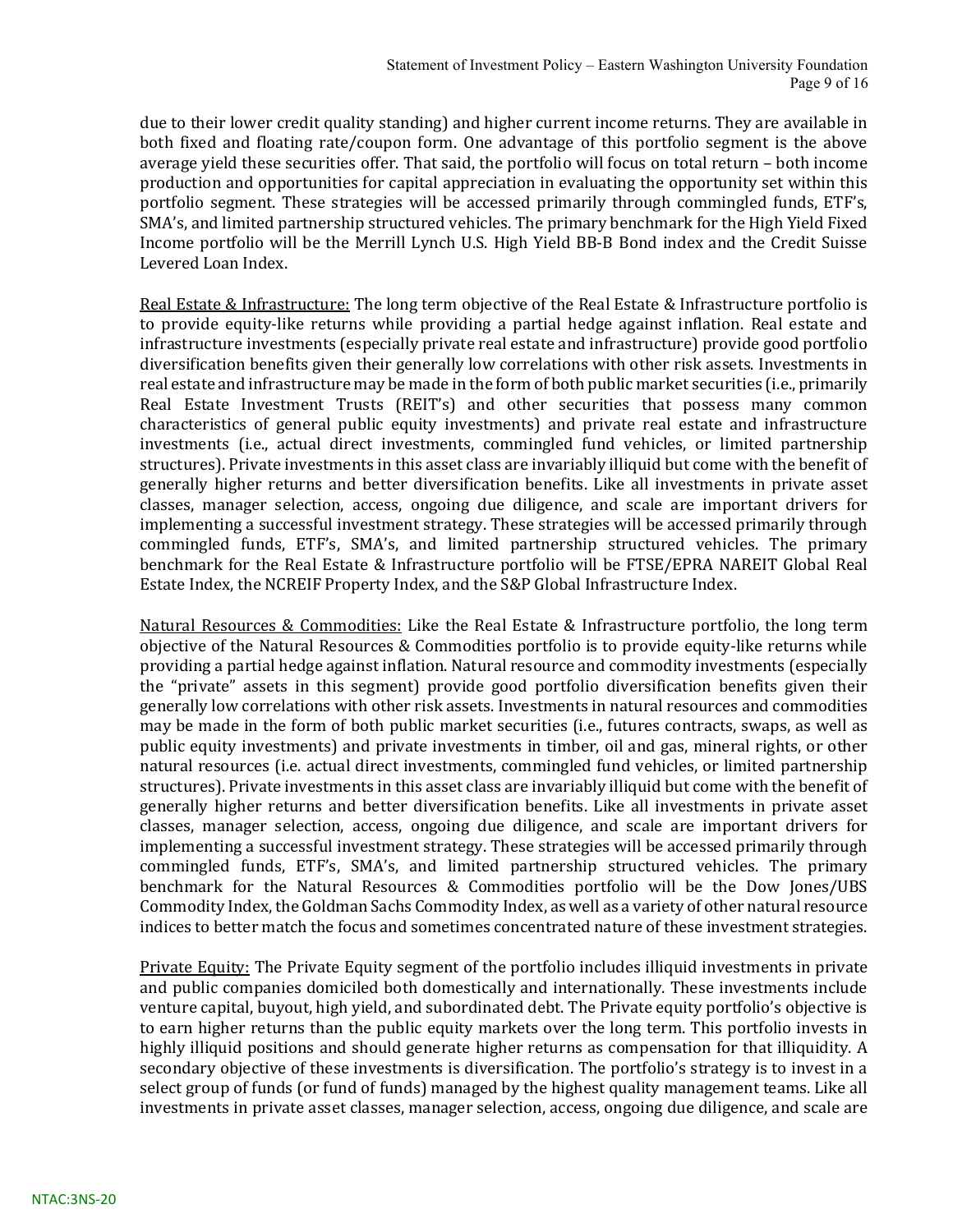due to their lower credit quality standing) and higher current income returns. They are available in both fixed and floating rate/coupon form. One advantage of this portfolio segment is the above average yield these securities offer. That said, the portfolio will focus on total return – both income production and opportunities for capital appreciation in evaluating the opportunity set within this portfolio segment. These strategies will be accessed primarily through commingled funds, ETF's, SMA's, and limited partnership structured vehicles. The primary benchmark for the High Yield Fixed Income portfolio will be the Merrill Lynch U.S. High Yield BB-B Bond index and the Credit Suisse Levered Loan Index.

Real Estate & Infrastructure: The long term objective of the Real Estate & Infrastructure portfolio is to provide equity-like returns while providing a partial hedge against inflation. Real estate and infrastructure investments (especially private real estate and infrastructure) provide good portfolio diversification benefits given their generally low correlations with other risk assets. Investments in real estate and infrastructure may be made in the form of both public market securities (i.e., primarily Real Estate Investment Trusts (REIT's) and other securities that possess many common characteristics of general public equity investments) and private real estate and infrastructure investments (i.e., actual direct investments, commingled fund vehicles, or limited partnership structures). Private investments in this asset class are invariably illiquid but come with the benefit of generally higher returns and better diversification benefits. Like all investments in private asset classes, manager selection, access, ongoing due diligence, and scale are important drivers for implementing a successful investment strategy. These strategies will be accessed primarily through commingled funds, ETF's, SMA's, and limited partnership structured vehicles. The primary benchmark for the Real Estate & Infrastructure portfolio will be FTSE/EPRA NAREIT Global Real Estate Index, the NCREIF Property Index, and the S&P Global Infrastructure Index.

Natural Resources & Commodities: Like the Real Estate & Infrastructure portfolio, the long term objective of the Natural Resources & Commodities portfolio is to provide equity-like returns while providing a partial hedge against inflation. Natural resource and commodity investments (especially the "private" assets in this segment) provide good portfolio diversification benefits given their generally low correlations with other risk assets. Investments in natural resources and commodities may be made in the form of both public market securities (i.e., futures contracts, swaps, as well as public equity investments) and private investments in timber, oil and gas, mineral rights, or other natural resources (i.e. actual direct investments, commingled fund vehicles, or limited partnership structures). Private investments in this asset class are invariably illiquid but come with the benefit of generally higher returns and better diversification benefits. Like all investments in private asset classes, manager selection, access, ongoing due diligence, and scale are important drivers for implementing a successful investment strategy. These strategies will be accessed primarily through commingled funds, ETF's, SMA's, and limited partnership structured vehicles. The primary benchmark for the Natural Resources & Commodities portfolio will be the Dow Jones/UBS Commodity Index, the Goldman Sachs Commodity Index, as well as a variety of other natural resource indices to better match the focus and sometimes concentrated nature of these investment strategies.

Private Equity: The Private Equity segment of the portfolio includes illiquid investments in private and public companies domiciled both domestically and internationally. These investments include venture capital, buyout, high yield, and subordinated debt. The Private equity portfolio's objective is to earn higher returns than the public equity markets over the long term. This portfolio invests in highly illiquid positions and should generate higher returns as compensation for that illiquidity. A secondary objective of these investments is diversification. The portfolio's strategy is to invest in a select group of funds (or fund of funds) managed by the highest quality management teams. Like all investments in private asset classes, manager selection, access, ongoing due diligence, and scale are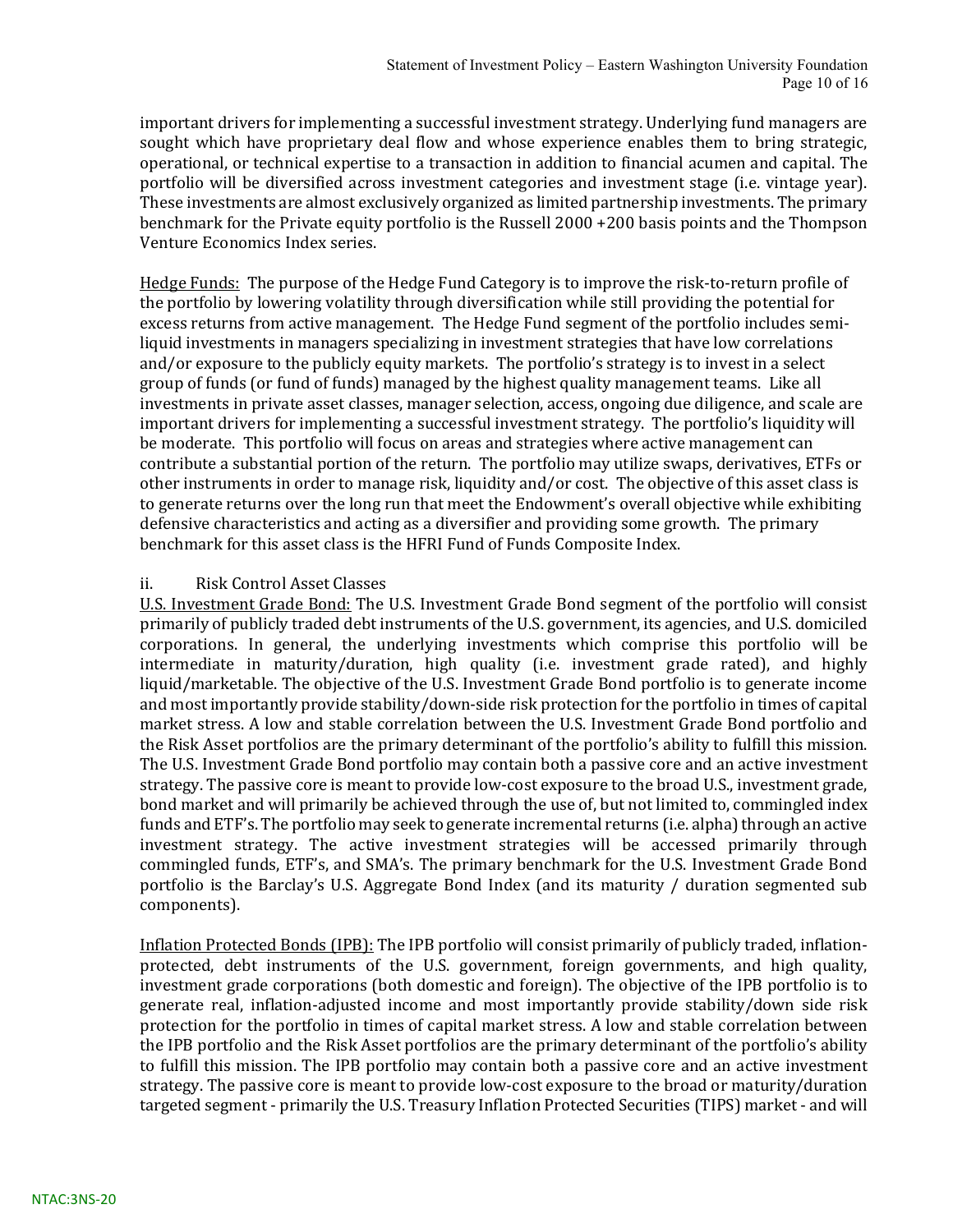important drivers for implementing a successful investment strategy. Underlying fund managers are sought which have proprietary deal flow and whose experience enables them to bring strategic, operational, or technical expertise to a transaction in addition to financial acumen and capital. The portfolio will be diversified across investment categories and investment stage (i.e. vintage year). These investments are almost exclusively organized as limited partnership investments. The primary benchmark for the Private equity portfolio is the Russell 2000 +200 basis points and the Thompson Venture Economics Index series.

Hedge Funds: The purpose of the Hedge Fund Category is to improve the risk-to-return profile of the portfolio by lowering volatility through diversification while still providing the potential for excess returns from active management. The Hedge Fund segment of the portfolio includes semiliquid investments in managers specializing in investment strategies that have low correlations and/or exposure to the publicly equity markets. The portfolio's strategy is to invest in a select group of funds (or fund of funds) managed by the highest quality management teams. Like all investments in private asset classes, manager selection, access, ongoing due diligence, and scale are important drivers for implementing a successful investment strategy. The portfolio's liquidity will be moderate. This portfolio will focus on areas and strategies where active management can contribute a substantial portion of the return. The portfolio may utilize swaps, derivatives, ETFs or other instruments in order to manage risk, liquidity and/or cost. The objective of this asset class is to generate returns over the long run that meet the Endowment's overall objective while exhibiting defensive characteristics and acting as a diversifier and providing some growth. The primary benchmark for this asset class is the HFRI Fund of Funds Composite Index.

#### ii. Risk Control Asset Classes

U.S. Investment Grade Bond: The U.S. Investment Grade Bond segment of the portfolio will consist primarily of publicly traded debt instruments of the U.S. government, its agencies, and U.S. domiciled corporations. In general, the underlying investments which comprise this portfolio will be intermediate in maturity/duration, high quality (i.e. investment grade rated), and highly liquid/marketable. The objective of the U.S. Investment Grade Bond portfolio is to generate income and most importantly provide stability/down-side risk protection for the portfolio in times of capital market stress. A low and stable correlation between the U.S. Investment Grade Bond portfolio and the Risk Asset portfolios are the primary determinant of the portfolio's ability to fulfill this mission. The U.S. Investment Grade Bond portfolio may contain both a passive core and an active investment strategy. The passive core is meant to provide low-cost exposure to the broad U.S., investment grade, bond market and will primarily be achieved through the use of, but not limited to, commingled index funds and ETF's. The portfolio may seek to generate incremental returns (i.e. alpha) through an active investment strategy. The active investment strategies will be accessed primarily through commingled funds, ETF's, and SMA's. The primary benchmark for the U.S. Investment Grade Bond portfolio is the Barclay's U.S. Aggregate Bond Index (and its maturity / duration segmented sub components).

Inflation Protected Bonds (IPB): The IPB portfolio will consist primarily of publicly traded, inflationprotected, debt instruments of the U.S. government, foreign governments, and high quality, investment grade corporations (both domestic and foreign). The objective of the IPB portfolio is to generate real, inflation-adjusted income and most importantly provide stability/down side risk protection for the portfolio in times of capital market stress. A low and stable correlation between the IPB portfolio and the Risk Asset portfolios are the primary determinant of the portfolio's ability to fulfill this mission. The IPB portfolio may contain both a passive core and an active investment strategy. The passive core is meant to provide low-cost exposure to the broad or maturity/duration targeted segment - primarily the U.S. Treasury Inflation Protected Securities (TIPS) market - and will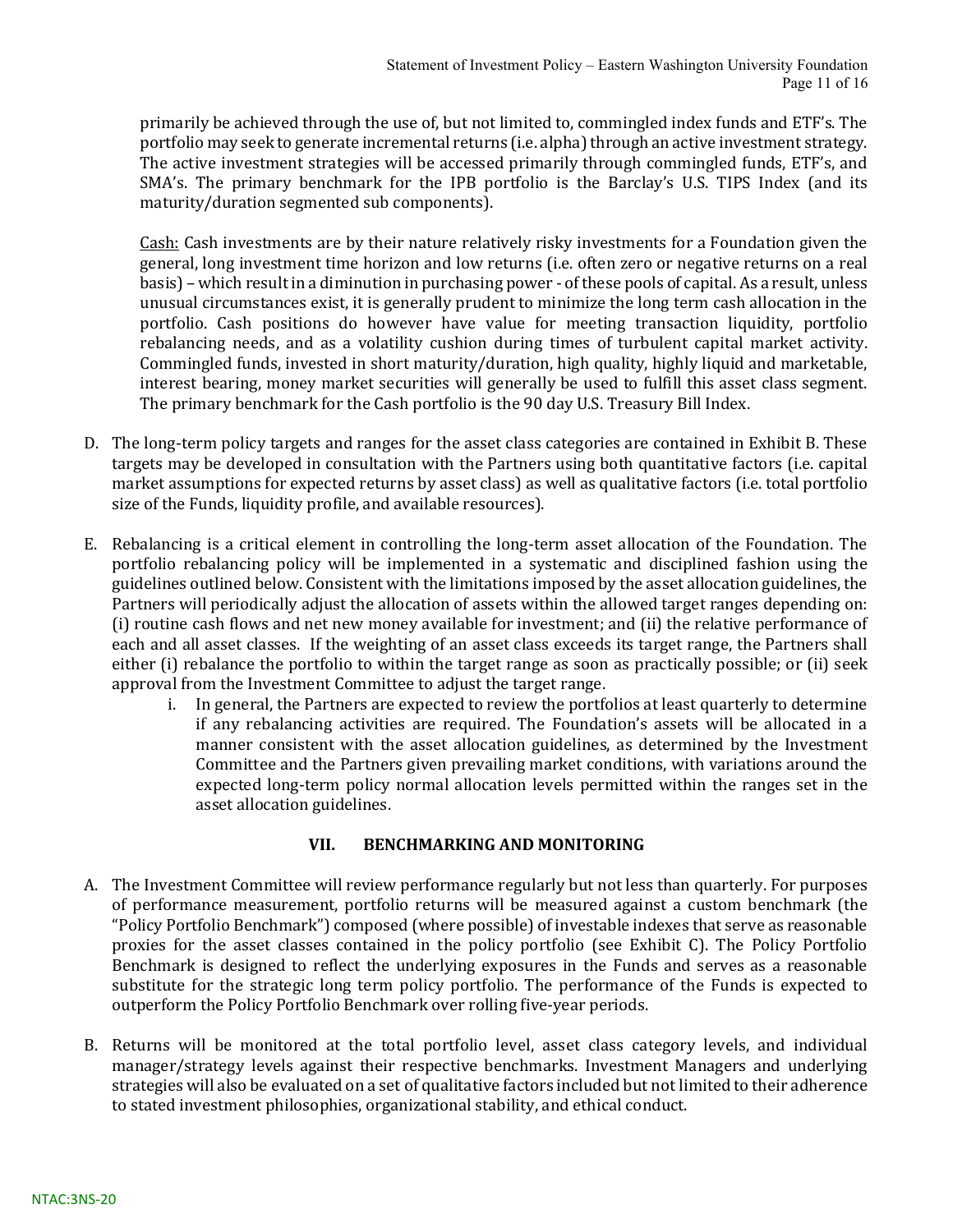primarily be achieved through the use of, but not limited to, commingled index funds and ETF's. The portfolio may seek to generate incremental returns (i.e. alpha) through an active investment strategy. The active investment strategies will be accessed primarily through commingled funds, ETF's, and SMA's. The primary benchmark for the IPB portfolio is the Barclay's U.S. TIPS Index (and its maturity/duration segmented sub components).

Cash: Cash investments are by their nature relatively risky investments for a Foundation given the general, long investment time horizon and low returns (i.e. often zero or negative returns on a real basis) – which result in a diminution in purchasing power - of these pools of capital. As a result, unless unusual circumstances exist, it is generally prudent to minimize the long term cash allocation in the portfolio. Cash positions do however have value for meeting transaction liquidity, portfolio rebalancing needs, and as a volatility cushion during times of turbulent capital market activity. Commingled funds, invested in short maturity/duration, high quality, highly liquid and marketable, interest bearing, money market securities will generally be used to fulfill this asset class segment. The primary benchmark for the Cash portfolio is the 90 day U.S. Treasury Bill Index.

- D. The long-term policy targets and ranges for the asset class categories are contained in Exhibit B. These targets may be developed in consultation with the Partners using both quantitative factors (i.e. capital market assumptions for expected returns by asset class) as well as qualitative factors (i.e. total portfolio size of the Funds, liquidity profile, and available resources).
- E. Rebalancing is a critical element in controlling the long-term asset allocation of the Foundation. The portfolio rebalancing policy will be implemented in a systematic and disciplined fashion using the guidelines outlined below. Consistent with the limitations imposed by the asset allocation guidelines, the Partners will periodically adjust the allocation of assets within the allowed target ranges depending on: (i) routine cash flows and net new money available for investment; and (ii) the relative performance of each and all asset classes. If the weighting of an asset class exceeds its target range, the Partners shall either (i) rebalance the portfolio to within the target range as soon as practically possible; or (ii) seek approval from the Investment Committee to adjust the target range.
	- i. In general, the Partners are expected to review the portfolios at least quarterly to determine if any rebalancing activities are required. The Foundation's assets will be allocated in a manner consistent with the asset allocation guidelines, as determined by the Investment Committee and the Partners given prevailing market conditions, with variations around the expected long-term policy normal allocation levels permitted within the ranges set in the asset allocation guidelines.

#### VII. BENCHMARKING AND MONITORING

- A. The Investment Committee will review performance regularly but not less than quarterly. For purposes of performance measurement, portfolio returns will be measured against a custom benchmark (the "Policy Portfolio Benchmark") composed (where possible) of investable indexes that serve as reasonable proxies for the asset classes contained in the policy portfolio (see Exhibit C). The Policy Portfolio Benchmark is designed to reflect the underlying exposures in the Funds and serves as a reasonable substitute for the strategic long term policy portfolio. The performance of the Funds is expected to outperform the Policy Portfolio Benchmark over rolling five-year periods.
- B. Returns will be monitored at the total portfolio level, asset class category levels, and individual manager/strategy levels against their respective benchmarks. Investment Managers and underlying strategies will also be evaluated on a set of qualitative factors included but not limited to their adherence to stated investment philosophies, organizational stability, and ethical conduct.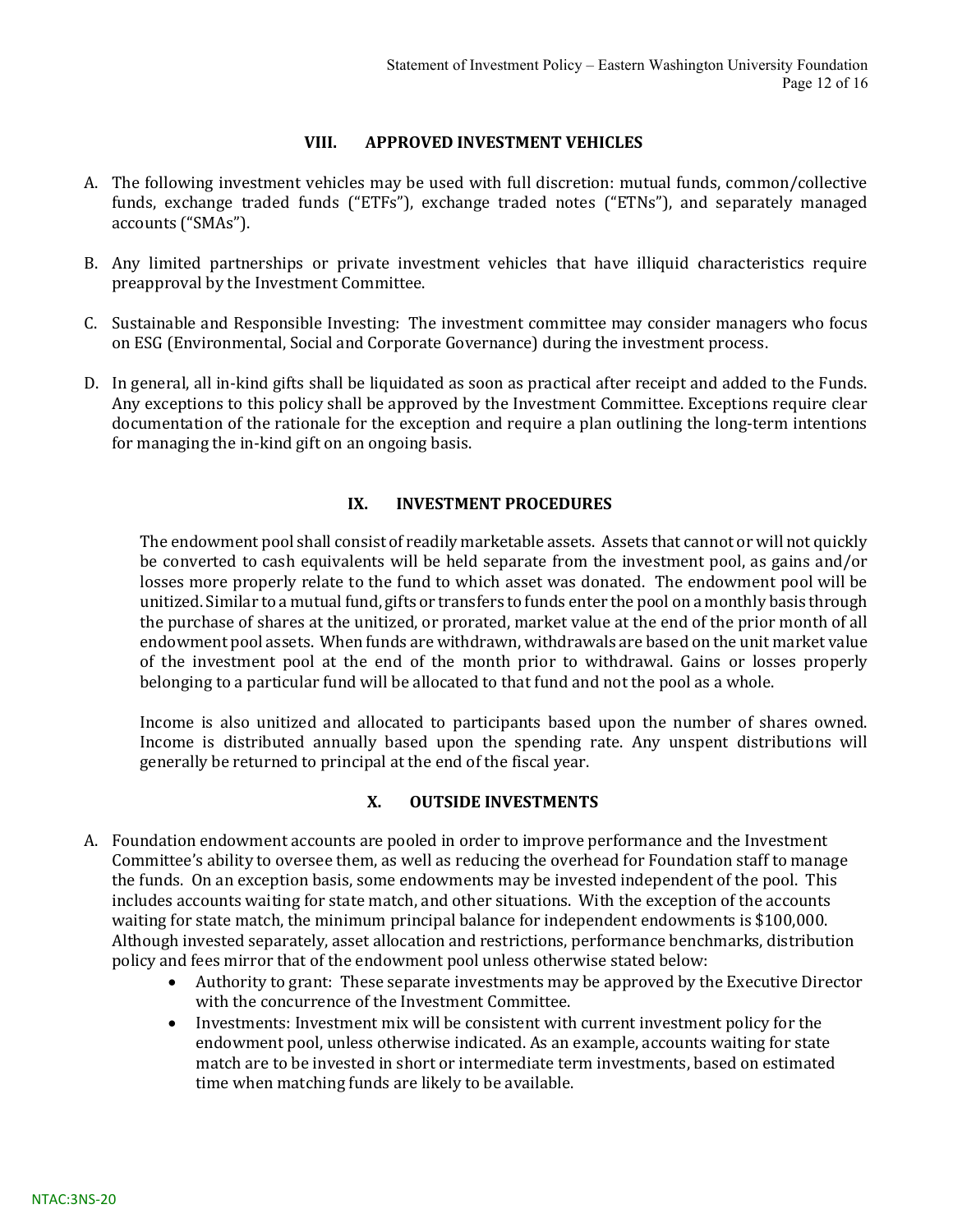#### VIII. APPROVED INVESTMENT VEHICLES

- A. The following investment vehicles may be used with full discretion: mutual funds, common/collective funds, exchange traded funds ("ETFs"), exchange traded notes ("ETNs"), and separately managed accounts ("SMAs").
- B. Any limited partnerships or private investment vehicles that have illiquid characteristics require preapproval by the Investment Committee.
- C. Sustainable and Responsible Investing: The investment committee may consider managers who focus on ESG (Environmental, Social and Corporate Governance) during the investment process.
- D. In general, all in-kind gifts shall be liquidated as soon as practical after receipt and added to the Funds. Any exceptions to this policy shall be approved by the Investment Committee. Exceptions require clear documentation of the rationale for the exception and require a plan outlining the long-term intentions for managing the in-kind gift on an ongoing basis.

### IX. INVESTMENT PROCEDURES

The endowment pool shall consist of readily marketable assets. Assets that cannot or will not quickly be converted to cash equivalents will be held separate from the investment pool, as gains and/or losses more properly relate to the fund to which asset was donated. The endowment pool will be unitized. Similar to a mutual fund, gifts or transfers to funds enter the pool on a monthly basis through the purchase of shares at the unitized, or prorated, market value at the end of the prior month of all endowment pool assets. When funds are withdrawn, withdrawals are based on the unit market value of the investment pool at the end of the month prior to withdrawal. Gains or losses properly belonging to a particular fund will be allocated to that fund and not the pool as a whole.

Income is also unitized and allocated to participants based upon the number of shares owned. Income is distributed annually based upon the spending rate. Any unspent distributions will generally be returned to principal at the end of the fiscal year.

#### X. OUTSIDE INVESTMENTS

- A. Foundation endowment accounts are pooled in order to improve performance and the Investment Committee's ability to oversee them, as well as reducing the overhead for Foundation staff to manage the funds. On an exception basis, some endowments may be invested independent of the pool. This includes accounts waiting for state match, and other situations. With the exception of the accounts waiting for state match, the minimum principal balance for independent endowments is \$100,000. Although invested separately, asset allocation and restrictions, performance benchmarks, distribution policy and fees mirror that of the endowment pool unless otherwise stated below:
	- Authority to grant: These separate investments may be approved by the Executive Director with the concurrence of the Investment Committee.
	- Investments: Investment mix will be consistent with current investment policy for the endowment pool, unless otherwise indicated. As an example, accounts waiting for state match are to be invested in short or intermediate term investments, based on estimated time when matching funds are likely to be available.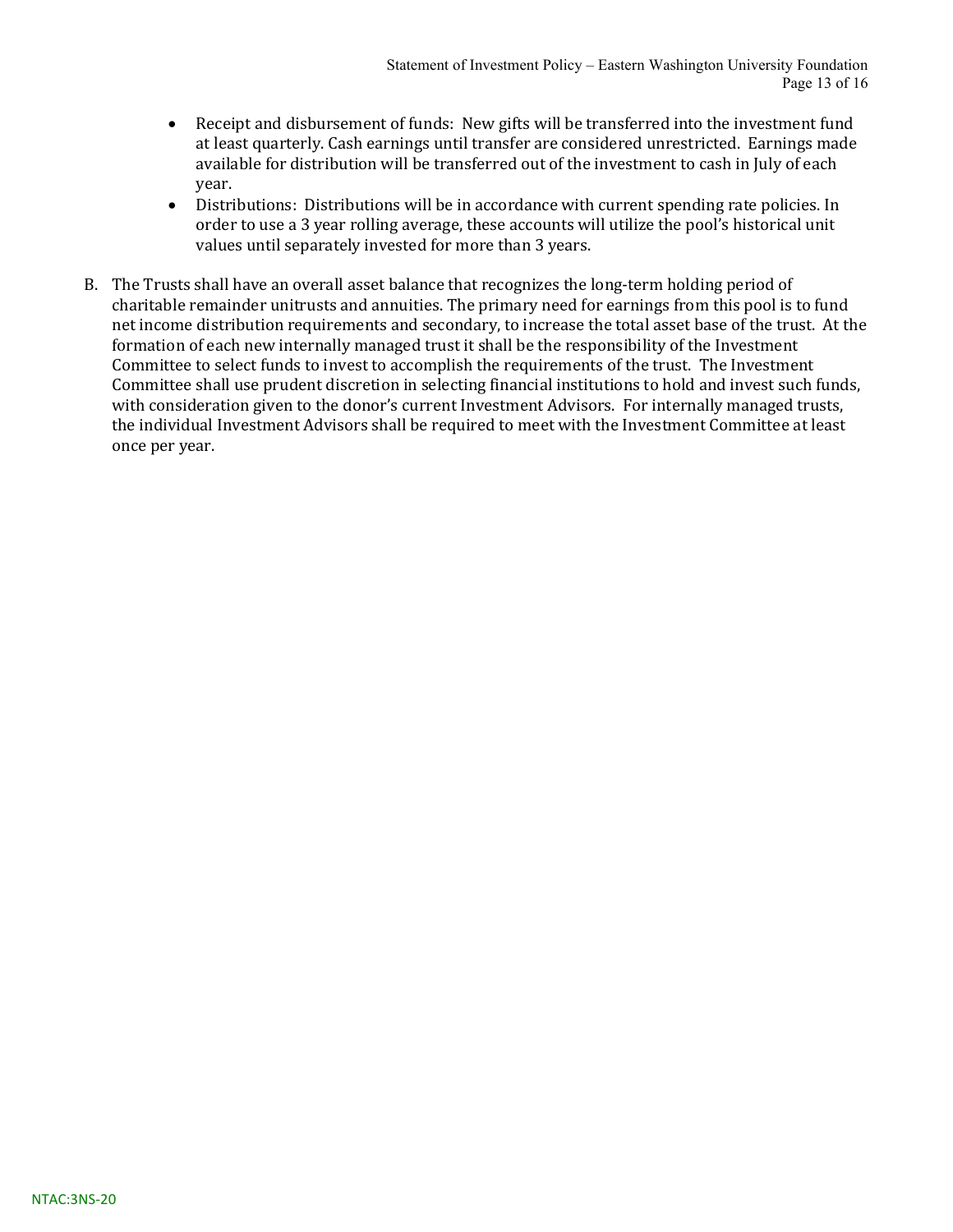- Receipt and disbursement of funds: New gifts will be transferred into the investment fund at least quarterly. Cash earnings until transfer are considered unrestricted. Earnings made available for distribution will be transferred out of the investment to cash in July of each year.
- Distributions: Distributions will be in accordance with current spending rate policies. In order to use a 3 year rolling average, these accounts will utilize the pool's historical unit values until separately invested for more than 3 years.
- B. The Trusts shall have an overall asset balance that recognizes the long-term holding period of charitable remainder unitrusts and annuities. The primary need for earnings from this pool is to fund net income distribution requirements and secondary, to increase the total asset base of the trust. At the formation of each new internally managed trust it shall be the responsibility of the Investment Committee to select funds to invest to accomplish the requirements of the trust. The Investment Committee shall use prudent discretion in selecting financial institutions to hold and invest such funds, with consideration given to the donor's current Investment Advisors. For internally managed trusts, the individual Investment Advisors shall be required to meet with the Investment Committee at least once per year.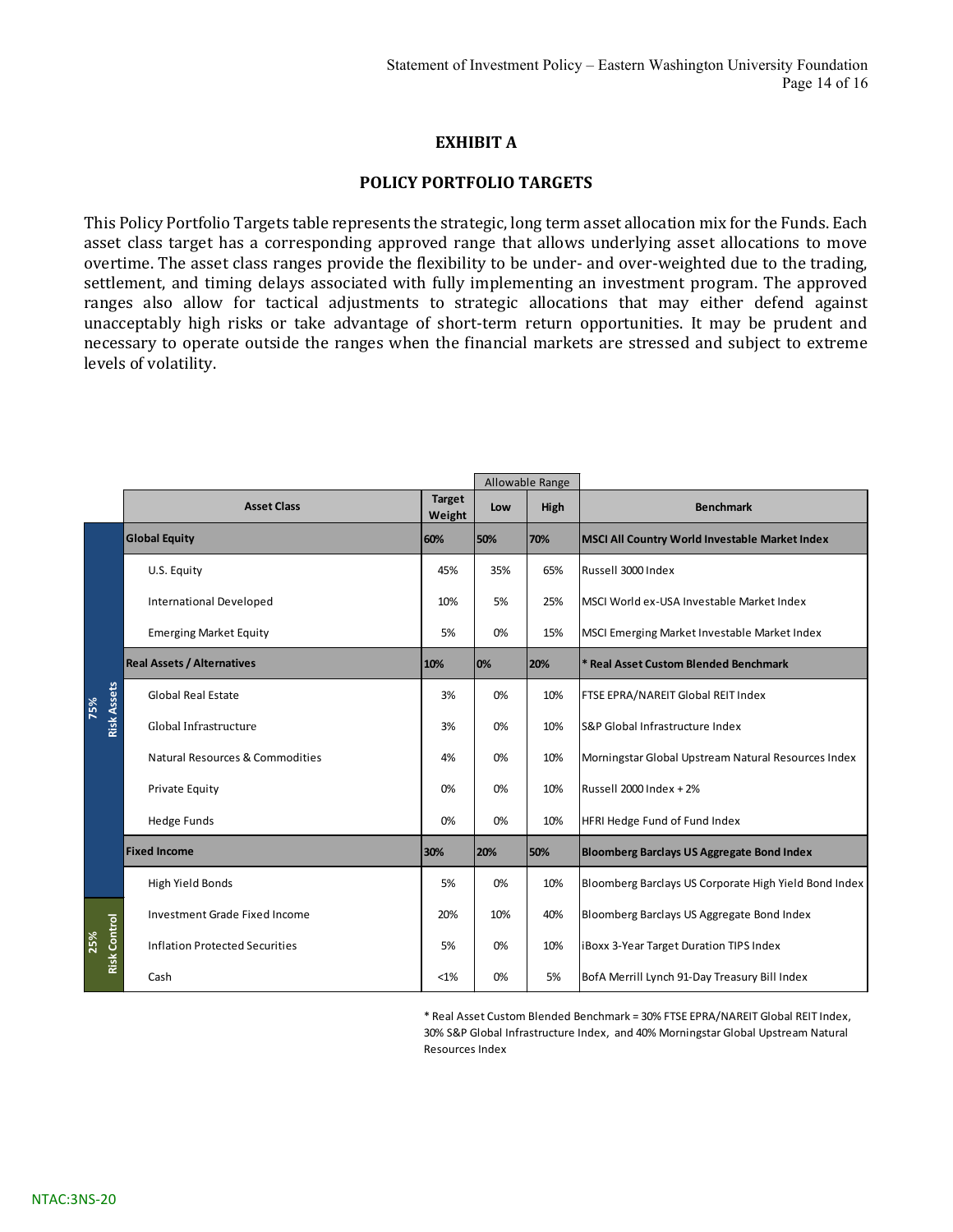#### EXHIBIT A

#### POLICY PORTFOLIO TARGETS

This Policy Portfolio Targets table represents the strategic, long term asset allocation mix for the Funds. Each asset class target has a corresponding approved range that allows underlying asset allocations to move overtime. The asset class ranges provide the flexibility to be under- and over-weighted due to the trading, settlement, and timing delays associated with fully implementing an investment program. The approved ranges also allow for tactical adjustments to strategic allocations that may either defend against unacceptably high risks or take advantage of short-term return opportunities. It may be prudent and necessary to operate outside the ranges when the financial markets are stressed and subject to extreme levels of volatility. **EXHIBIT A**<br> **EXHIBIT A**<br> **EXERC** Cong term asset allocation mix for the Funds. Each<br>
ed range that allows underlying asset allocations to move<br>
exibility to be under- and over-weighted due to the trading,<br>
fully implement

|                            | <b>POLICY PORTFOLIO TARGETS</b>                                                                                                                                                                                                                                                                                                                                                                                                                                                                                                                                                                                                                                                                                                                                                                  |               |     |                         |                                                       |
|----------------------------|--------------------------------------------------------------------------------------------------------------------------------------------------------------------------------------------------------------------------------------------------------------------------------------------------------------------------------------------------------------------------------------------------------------------------------------------------------------------------------------------------------------------------------------------------------------------------------------------------------------------------------------------------------------------------------------------------------------------------------------------------------------------------------------------------|---------------|-----|-------------------------|-------------------------------------------------------|
|                            | This Policy Portfolio Targets table represents the strategic, long term asset allocation mix for the Funds. Each<br>asset class target has a corresponding approved range that allows underlying asset allocations to move<br>overtime. The asset class ranges provide the flexibility to be under- and over-weighted due to the trading,<br>settlement, and timing delays associated with fully implementing an investment program. The approved<br>ranges also allow for tactical adjustments to strategic allocations that may either defend against<br>unacceptably high risks or take advantage of short-term return opportunities. It may be prudent and<br>necessary to operate outside the ranges when the financial markets are stressed and subject to extreme<br>evels of volatility. |               |     |                         |                                                       |
|                            | <b>Asset Class</b>                                                                                                                                                                                                                                                                                                                                                                                                                                                                                                                                                                                                                                                                                                                                                                               | <b>Target</b> | Low | Allowable Range<br>High | <b>Benchmark</b>                                      |
|                            | <b>Global Equity</b>                                                                                                                                                                                                                                                                                                                                                                                                                                                                                                                                                                                                                                                                                                                                                                             | Weight<br>60% | 50% | 70%                     | <b>MSCI All Country World Investable Market Index</b> |
|                            | U.S. Equity                                                                                                                                                                                                                                                                                                                                                                                                                                                                                                                                                                                                                                                                                                                                                                                      | 45%           | 35% | 65%                     | Russell 3000 Index                                    |
|                            | International Developed                                                                                                                                                                                                                                                                                                                                                                                                                                                                                                                                                                                                                                                                                                                                                                          | 10%           | 5%  | 25%                     | MSCI World ex-USA Investable Market Index             |
|                            | <b>Emerging Market Equity</b>                                                                                                                                                                                                                                                                                                                                                                                                                                                                                                                                                                                                                                                                                                                                                                    | 5%            | 0%  | 15%                     | MSCI Emerging Market Investable Market Index          |
|                            | <b>Real Assets / Alternatives</b>                                                                                                                                                                                                                                                                                                                                                                                                                                                                                                                                                                                                                                                                                                                                                                | 10%           | 0%  | 20%                     | Real Asset Custom Blended Benchmark                   |
| 75%                        | <b>Global Real Estate</b>                                                                                                                                                                                                                                                                                                                                                                                                                                                                                                                                                                                                                                                                                                                                                                        | 3%            | 0%  | 10%                     | FTSE EPRA/NAREIT Global REIT Index                    |
| <b>Risk Assets</b>         | Global Infrastructure                                                                                                                                                                                                                                                                                                                                                                                                                                                                                                                                                                                                                                                                                                                                                                            | 3%            | 0%  | 10%                     | S&P Global Infrastructure Index                       |
|                            | Natural Resources & Commodities                                                                                                                                                                                                                                                                                                                                                                                                                                                                                                                                                                                                                                                                                                                                                                  | 4%            | 0%  | 10%                     | Morningstar Global Upstream Natural Resources Index   |
|                            | Private Equity                                                                                                                                                                                                                                                                                                                                                                                                                                                                                                                                                                                                                                                                                                                                                                                   | 0%            | 0%  | 10%                     | Russell 2000 Index + 2%                               |
|                            | Hedge Funds                                                                                                                                                                                                                                                                                                                                                                                                                                                                                                                                                                                                                                                                                                                                                                                      | 0%            | 0%  | 10%                     | HFRI Hedge Fund of Fund Index                         |
|                            | Fixed Income                                                                                                                                                                                                                                                                                                                                                                                                                                                                                                                                                                                                                                                                                                                                                                                     | 30%           | 20% | 50%                     | <b>Bloomberg Barclays US Aggregate Bond Index</b>     |
|                            | High Yield Bonds                                                                                                                                                                                                                                                                                                                                                                                                                                                                                                                                                                                                                                                                                                                                                                                 | 5%            | 0%  | 10%                     | Bloomberg Barclays US Corporate High Yield Bond Index |
|                            | Investment Grade Fixed Income                                                                                                                                                                                                                                                                                                                                                                                                                                                                                                                                                                                                                                                                                                                                                                    | 20%           | 10% | 40%                     | Bloomberg Barclays US Aggregate Bond Index            |
|                            |                                                                                                                                                                                                                                                                                                                                                                                                                                                                                                                                                                                                                                                                                                                                                                                                  |               | 0%  | 10%                     | iBoxx 3-Year Target Duration TIPS Index               |
| <b>Risk Control</b><br>25% | <b>Inflation Protected Securities</b>                                                                                                                                                                                                                                                                                                                                                                                                                                                                                                                                                                                                                                                                                                                                                            | 5%            |     |                         |                                                       |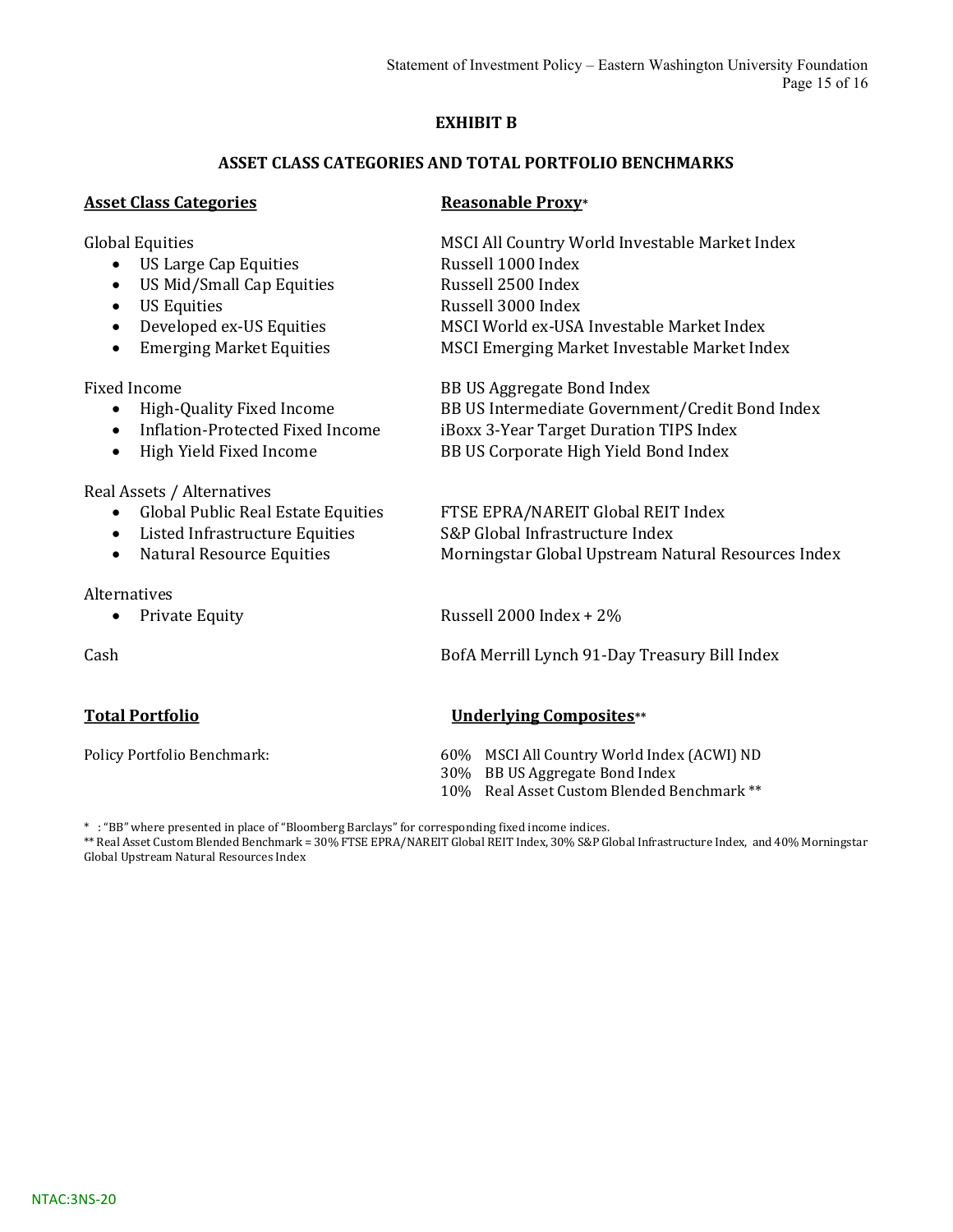#### EXHIBIT B

#### ASSET CLASS CATEGORIES AND TOTAL PORTFOLIO BENCHMARKS

#### Asset Class Categories **Reasonable Proxy**\*

- US Large Cap Equities Russell 1000 Index
- US Mid/Small Cap Equities Russell 2500 Index
- 
- 
- 

- 
- 
- 

Real Assets / Alternatives

- Global Public Real Estate Equities FTSE EPRA/NAREIT Global REIT Index
- Listed Infrastructure Equities S&P Global Infrastructure Index
- 

Alternatives

Global Equities **MSCI All Country World Investable Market Index** • US Equities Russell 3000 Index • Developed ex-US Equities MSCI World ex-USA Investable Market Index • Emerging Market Equities MSCI Emerging Market Investable Market Index

Fixed Income BB US Aggregate Bond Index High-Quality Fixed Income BB US Intermediate Government/Credit Bond Index • Inflation-Protected Fixed Income iBoxx 3-Year Target Duration TIPS Index • High Yield Fixed Income BB US Corporate High Yield Bond Index

• Natural Resource Equities Morningstar Global Upstream Natural Resources Index

• Private Equity Russell 2000 Index + 2%

Cash BofA Merrill Lynch 91-Day Treasury Bill Index

#### Total Portfolio Underlying Composites\*\*

Policy Portfolio Benchmark: 60% MSCI All Country World Index (ACWI) ND

- 30% BB US Aggregate Bond Index
- 10% Real Asset Custom Blended Benchmark \*\*

\* : "BB" where presented in place of "Bloomberg Barclays" for corresponding fixed income indices.

\*\* Real Asset Custom Blended Benchmark = 30% FTSE EPRA/NAREIT Global REIT Index, 30% S&P Global Infrastructure Index, and 40% Morningstar Global Upstream Natural Resources Index